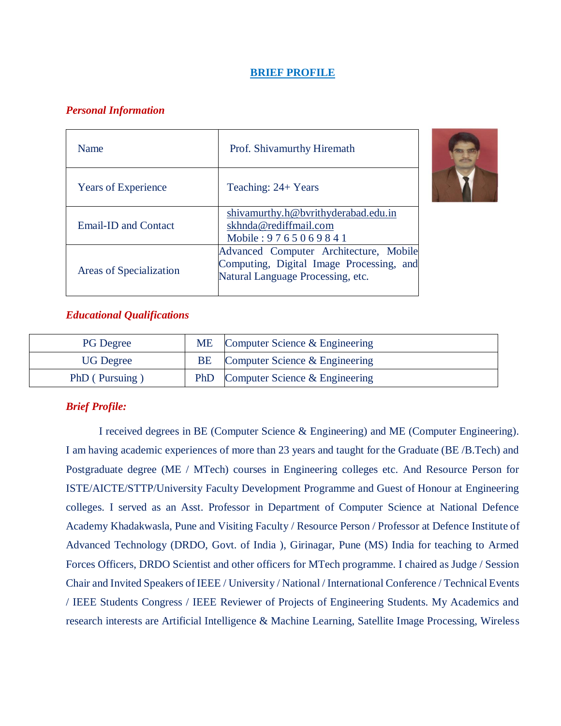## **BRIEF PROFILE**

# *Personal Information*

| Name                       | Prof. Shivamurthy Hiremath                                                                                              |
|----------------------------|-------------------------------------------------------------------------------------------------------------------------|
| <b>Years of Experience</b> | Teaching: 24+ Years                                                                                                     |
| Email-ID and Contact       | shivamurthy.h@bvrithyderabad.edu.in<br>skhnda@rediffmail.com<br>Mobile: 9765069841                                      |
| Areas of Specialization    | Advanced Computer Architecture, Mobile<br>Computing, Digital Image Processing, and<br>Natural Language Processing, etc. |



# *Educational Qualifications*

| <b>PG</b> Degree |    | ME Computer Science & Engineering  |
|------------------|----|------------------------------------|
| <b>UG</b> Degree | BE | Computer Science & Engineering     |
| PhD (Pursuing)   |    | PhD Computer Science & Engineering |

# *Brief Profile:*

I received degrees in BE (Computer Science & Engineering) and ME (Computer Engineering). I am having academic experiences of more than 23 years and taught for the Graduate (BE /B.Tech) and Postgraduate degree (ME / MTech) courses in Engineering colleges etc. And Resource Person for ISTE/AICTE/STTP/University Faculty Development Programme and Guest of Honour at Engineering colleges. I served as an Asst. Professor in Department of Computer Science at National Defence Academy Khadakwasla, Pune and Visiting Faculty / Resource Person / Professor at Defence Institute of Advanced Technology (DRDO, Govt. of India ), Girinagar, Pune (MS) India for teaching to Armed Forces Officers, DRDO Scientist and other officers for MTech programme. I chaired as Judge / Session Chair and Invited Speakers of IEEE / University / National / International Conference / Technical Events / IEEE Students Congress / IEEE Reviewer of Projects of Engineering Students. My Academics and research interests are Artificial Intelligence & Machine Learning, Satellite Image Processing, Wireless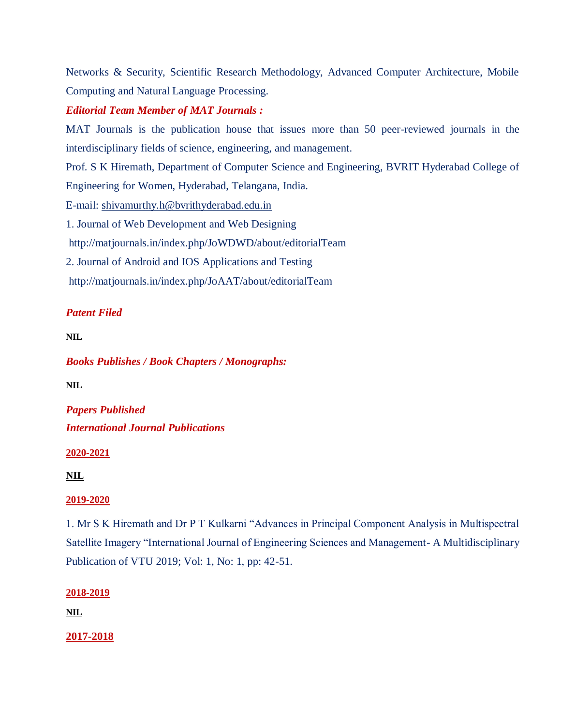Networks & Security, Scientific Research Methodology, Advanced Computer Architecture, Mobile Computing and Natural Language Processing.

# *Editorial Team Member of MAT Journals :*

MAT Journals is the publication house that issues more than 50 peer-reviewed journals in the interdisciplinary fields of science, engineering, and management.

Prof. S K Hiremath, Department of Computer Science and Engineering, BVRIT Hyderabad College of Engineering for Women, Hyderabad, Telangana, India.

E-mail: [shivamurthy.h@bvrithyderabad.edu.in](mailto:shivamurthy.h@bvrithyderabad.edu.in)

1. Journal of Web Development and Web Designing

<http://matjournals.in/index.php/JoWDWD/about/editorialTeam>

2. Journal of Android and IOS Applications and Testing

<http://matjournals.in/index.php/JoAAT/about/editorialTeam>

# *Patent Filed*

**NIL**

*Books Publishes / Book Chapters / Monographs:* 

**NIL**

*Papers Published International Journal Publications*

**2020-2021**

**NIL**

## **2019-2020**

1. Mr S K Hiremath and Dr P T Kulkarni "Advances in Principal Component Analysis in Multispectral Satellite Imagery "International Journal of Engineering Sciences and Management- A Multidisciplinary Publication of VTU 2019; Vol: 1, No: 1, pp: 42-51.

## **2018-2019**

**NIL**

**2017-2018**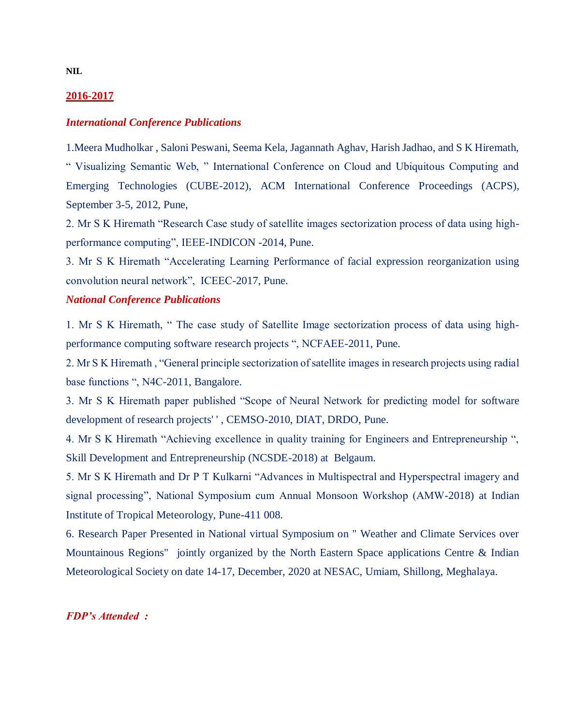### **2016-2017**

#### *International Conference Publications*

1.Meera Mudholkar , Saloni Peswani, Seema Kela, Jagannath Aghav, Harish Jadhao, and S K Hiremath, " Visualizing Semantic Web, " International Conference on Cloud and Ubiquitous Computing and Emerging Technologies (CUBE-2012), ACM International Conference Proceedings (ACPS), September 3-5, 2012, Pune,

2. Mr S K Hiremath "Research Case study of satellite images sectorization process of data using highperformance computing", IEEE-INDICON -2014, Pune.

3. Mr S K Hiremath "Accelerating Learning Performance of facial expression reorganization using convolution neural network", ICEEC-2017, Pune.

### *National Conference Publications*

1. Mr S K Hiremath, " The case study of Satellite Image sectorization process of data using highperformance computing software research projects ", NCFAEE-2011, Pune.

2. Mr S K Hiremath , "General principle sectorization of satellite images in research projects using radial base functions ", N4C-2011, Bangalore.

3. Mr S K Hiremath paper published "Scope of Neural Network for predicting model for software development of research projects' ' , CEMSO-2010, DIAT, DRDO, Pune.

4. Mr S K Hiremath "Achieving excellence in quality training for Engineers and Entrepreneurship ", Skill Development and Entrepreneurship (NCSDE-2018) at Belgaum.

5. Mr S K Hiremath and Dr P T Kulkarni "Advances in Multispectral and Hyperspectral imagery and signal processing", National Symposium cum Annual Monsoon Workshop (AMW-2018) at Indian Institute of Tropical Meteorology, Pune-411 008.

6. Research Paper Presented in National virtual Symposium on " Weather and Climate Services over Mountainous Regions" jointly organized by the North Eastern Space applications Centre & Indian Meteorological Society on date 14-17, December, 2020 at NESAC, Umiam, Shillong, Meghalaya.

#### *FDP's Attended :*

**NIL**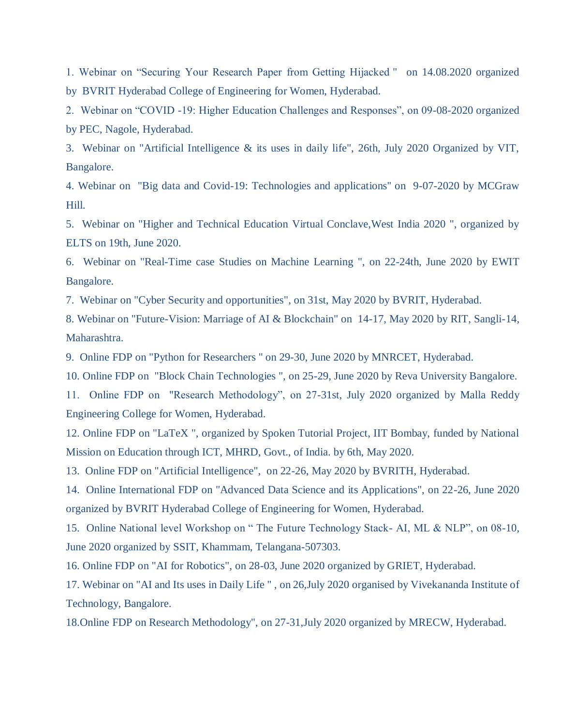1. Webinar on "Securing Your Research Paper from Getting Hijacked " on 14.08.2020 organized by BVRIT Hyderabad College of Engineering for Women, Hyderabad.

2. Webinar on "COVID -19: Higher Education Challenges and Responses", on 09-08-2020 organized by PEC, Nagole, Hyderabad.

3. Webinar on "Artificial Intelligence & its uses in daily life", 26th, July 2020 Organized by VIT, Bangalore.

4. Webinar on "Big data and Covid-19: Technologies and applications'' on 9-07-2020 by MCGraw Hill.

5. Webinar on "Higher and Technical Education Virtual Conclave,West India 2020 ", organized by ELTS on 19th, June 2020.

6. Webinar on "Real-Time case Studies on Machine Learning ", on 22-24th, June 2020 by EWIT Bangalore.

7. Webinar on "Cyber Security and opportunities", on 31st, May 2020 by BVRIT, Hyderabad.

8. Webinar on "Future-Vision: Marriage of AI & Blockchain" on 14-17, May 2020 by RIT, Sangli-14, Maharashtra.

9. Online FDP on "Python for Researchers '' on 29-30, June 2020 by MNRCET, Hyderabad.

10. Online FDP on "Block Chain Technologies ", on 25-29, June 2020 by Reva University Bangalore.

11. Online FDP on "Research Methodology", on 27-31st, July 2020 organized by Malla Reddy Engineering College for Women, Hyderabad.

12. Online FDP on "LaTeX ", organized by Spoken Tutorial Project, IIT Bombay, funded by National Mission on Education through ICT, MHRD, Govt., of India. by 6th, May 2020.

13. Online FDP on "Artificial Intelligence", on 22-26, May 2020 by BVRITH, Hyderabad.

14. Online International FDP on "Advanced Data Science and its Applications", on 22-26, June 2020 organized by BVRIT Hyderabad College of Engineering for Women, Hyderabad.

15. Online National level Workshop on " The Future Technology Stack- AI, ML & NLP", on 08-10, June 2020 organized by SSIT, Khammam, Telangana-507303.

16. Online FDP on "AI for Robotics", on 28-03, June 2020 organized by GRIET, Hyderabad.

17. Webinar on "AI and Its uses in Daily Life " , on 26,July 2020 organised by Vivekananda Institute of Technology, Bangalore.

18.Online FDP on Research Methodology", on 27-31,July 2020 organized by MRECW, Hyderabad.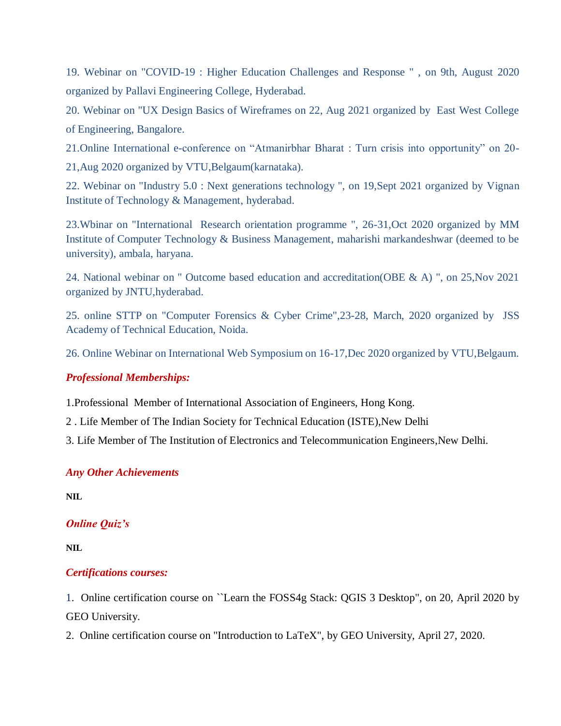19. Webinar on "COVID-19 : Higher Education Challenges and Response " , on 9th, August 2020 organized by Pallavi Engineering College, Hyderabad.

20. Webinar on "UX Design Basics of Wireframes on 22, Aug 2021 organized by East West College of Engineering, Bangalore.

21.Online International e-conference on "Atmanirbhar Bharat : Turn crisis into opportunity" on 20- 21,Aug 2020 organized by VTU,Belgaum(karnataka).

22. Webinar on "Industry 5.0 : Next generations technology ", on 19,Sept 2021 organized by Vignan Institute of Technology & Management, hyderabad.

23.Wbinar on "International Research orientation programme ", 26-31,Oct 2020 organized by MM Institute of Computer Technology & Business Management, maharishi markandeshwar (deemed to be university), ambala, haryana.

24. National webinar on " Outcome based education and accreditation(OBE & A) ", on 25,Nov 2021 organized by JNTU,hyderabad.

25. online STTP on "Computer Forensics & Cyber Crime",23-28, March, 2020 organized by JSS Academy of Technical Education, Noida.

26. Online Webinar on International Web Symposium on 16-17,Dec 2020 organized by VTU,Belgaum.

## *Professional Memberships:*

1.Professional Member of International Association of Engineers, Hong Kong.

2 . Life Member of The Indian Society for Technical Education (ISTE),New Delhi

3. Life Member of The Institution of Electronics and Telecommunication Engineers,New Delhi.

## *Any Other Achievements*

**NIL**

## *Online Quiz's*

**NIL**

## *Certifications courses:*

1. Online certification course on ``Learn the FOSS4g Stack: QGIS 3 Desktop", on 20, April 2020 by GEO University.

2. Online certification course on "Introduction to LaTeX", by GEO University, April 27, 2020.